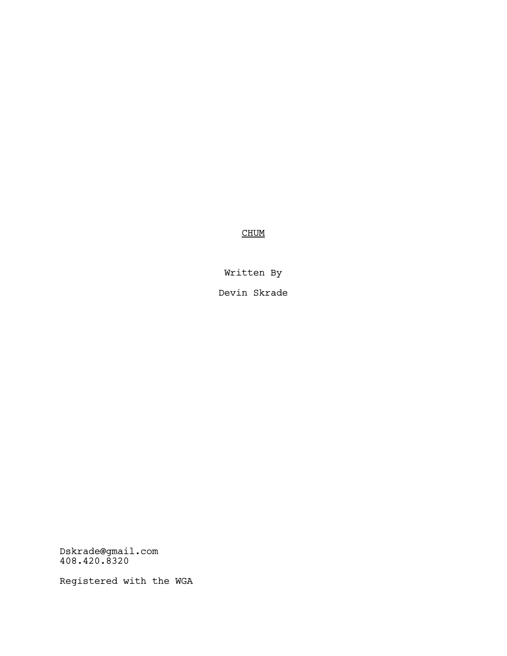**CHUM** 

Written By

Devin Skrade

Dskrade@gmail.com 408.420.8320

Registered with the WGA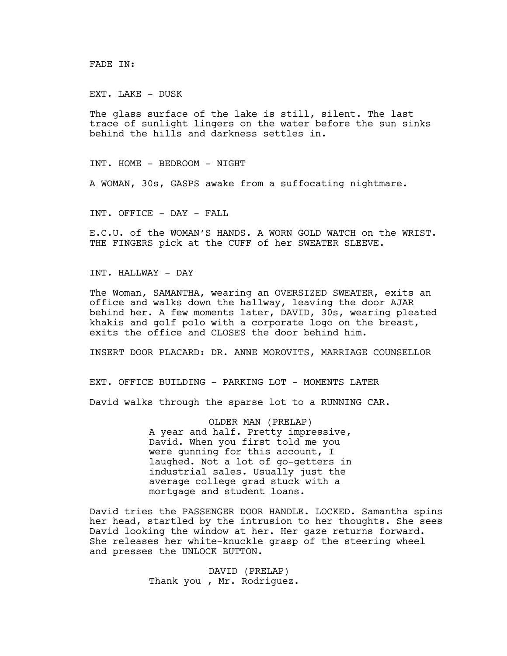FADE IN:

EXT. LAKE - DUSK

The glass surface of the lake is still, silent. The last trace of sunlight lingers on the water before the sun sinks behind the hills and darkness settles in.

INT. HOME - BEDROOM - NIGHT

A WOMAN, 30s, GASPS awake from a suffocating nightmare.

INT. OFFICE - DAY - FALL

E.C.U. of the WOMAN'S HANDS. A WORN GOLD WATCH on the WRIST. THE FINGERS pick at the CUFF of her SWEATER SLEEVE.

INT. HALLWAY - DAY

The Woman, SAMANTHA, wearing an OVERSIZED SWEATER, exits an office and walks down the hallway, leaving the door AJAR behind her. A few moments later, DAVID, 30s, wearing pleated khakis and golf polo with a corporate logo on the breast, exits the office and CLOSES the door behind him.

INSERT DOOR PLACARD: DR. ANNE MOROVITS, MARRIAGE COUNSELLOR

EXT. OFFICE BUILDING - PARKING LOT - MOMENTS LATER

David walks through the sparse lot to a RUNNING CAR.

OLDER MAN (PRELAP) A year and half. Pretty impressive, David. When you first told me you were gunning for this account, I laughed. Not a lot of go-getters in industrial sales. Usually just the average college grad stuck with a mortgage and student loans.

David tries the PASSENGER DOOR HANDLE. LOCKED. Samantha spins her head, startled by the intrusion to her thoughts. She sees David looking the window at her. Her gaze returns forward. She releases her white-knuckle grasp of the steering wheel and presses the UNLOCK BUTTON.

> DAVID (PRELAP) Thank you , Mr. Rodriguez.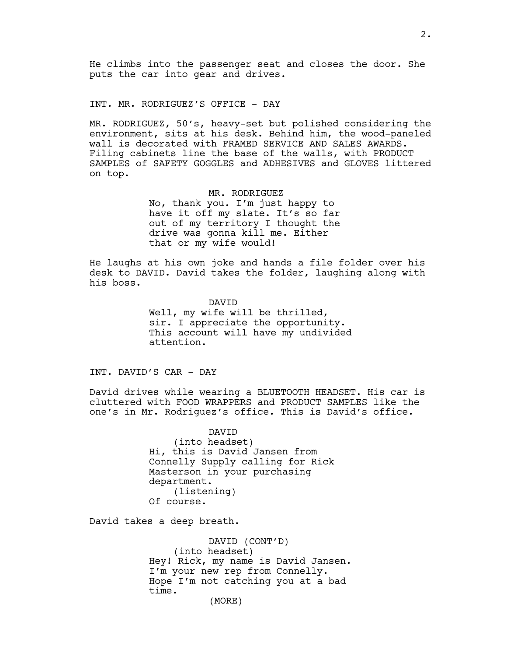INT. MR. RODRIGUEZ'S OFFICE - DAY

MR. RODRIGUEZ, 50's, heavy-set but polished considering the environment, sits at his desk. Behind him, the wood-paneled wall is decorated with FRAMED SERVICE AND SALES AWARDS. Filing cabinets line the base of the walls, with PRODUCT SAMPLES of SAFETY GOGGLES and ADHESIVES and GLOVES littered on top.

## MR. RODRIGUEZ

No, thank you. I'm just happy to have it off my slate. It's so far out of my territory I thought the drive was gonna kill me. Either that or my wife would!

He laughs at his own joke and hands a file folder over his desk to DAVID. David takes the folder, laughing along with his boss.

> DAVID Well, my wife will be thrilled, sir. I appreciate the opportunity. This account will have my undivided attention.

INT. DAVID'S CAR - DAY

David drives while wearing a BLUETOOTH HEADSET. His car is cluttered with FOOD WRAPPERS and PRODUCT SAMPLES like the one's in Mr. Rodriguez's office. This is David's office.

> DAVID (into headset) Hi, this is David Jansen from Connelly Supply calling for Rick Masterson in your purchasing department. (listening) Of course.

David takes a deep breath.

DAVID (CONT'D) (into headset) Hey! Rick, my name is David Jansen. I'm your new rep from Connelly. Hope I'm not catching you at a bad time. (MORE)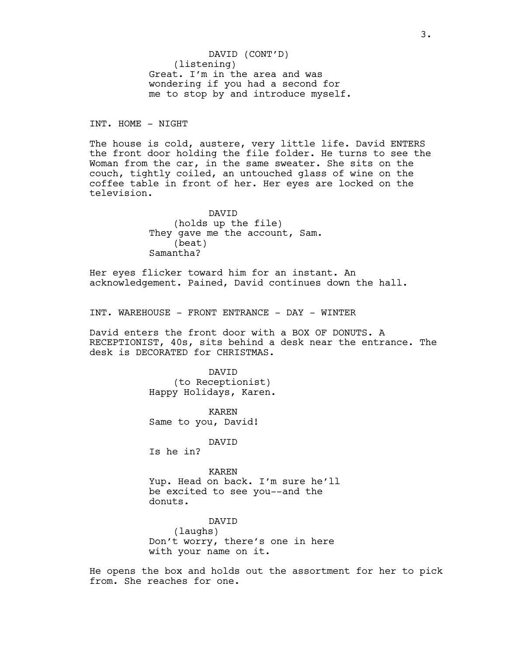(listening) Great. I'm in the area and was wondering if you had a second for me to stop by and introduce myself. DAVID (CONT'D)

INT. HOME - NIGHT

The house is cold, austere, very little life. David ENTERS the front door holding the file folder. He turns to see the Woman from the car, in the same sweater. She sits on the couch, tightly coiled, an untouched glass of wine on the coffee table in front of her. Her eyes are locked on the television.

> DAVID (holds up the file) They gave me the account, Sam. (beat) Samantha?

Her eyes flicker toward him for an instant. An acknowledgement. Pained, David continues down the hall.

INT. WAREHOUSE - FRONT ENTRANCE - DAY - WINTER

David enters the front door with a BOX OF DONUTS. A RECEPTIONIST, 40s, sits behind a desk near the entrance. The desk is DECORATED for CHRISTMAS.

> DAVID (to Receptionist) Happy Holidays, Karen.

KAREN Same to you, David!

DAVID

Is he in?

KAREN Yup. Head on back. I'm sure he'll be excited to see you--and the donuts.

DAVID (laughs) Don't worry, there's one in here with your name on it.

He opens the box and holds out the assortment for her to pick from. She reaches for one.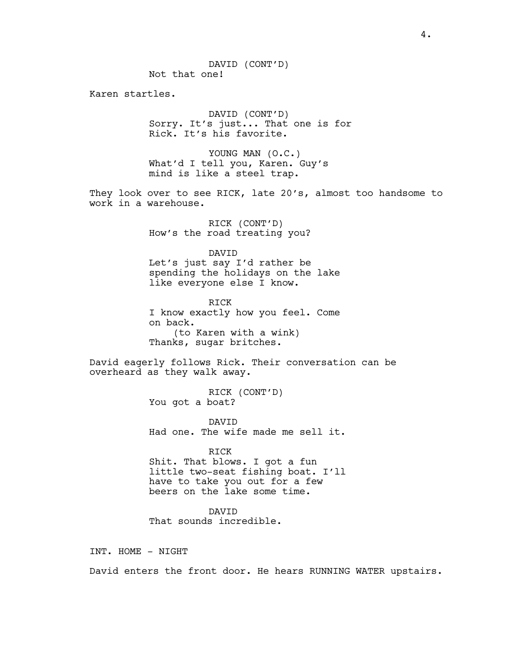Karen startles.

DAVID (CONT'D) Sorry. It's just... That one is for Rick. It's his favorite.

YOUNG MAN (O.C.) What'd I tell you, Karen. Guy's mind is like a steel trap.

They look over to see RICK, late 20's, almost too handsome to work in a warehouse.

> RICK (CONT'D) How's the road treating you?

DAVID Let's just say I'd rather be spending the holidays on the lake like everyone else I know.

RICK I know exactly how you feel. Come on back. (to Karen with a wink) Thanks, sugar britches.

David eagerly follows Rick. Their conversation can be overheard as they walk away.

> RICK (CONT'D) You got a boat?

DAVID Had one. The wife made me sell it.

RICK Shit. That blows. I got a fun little two-seat fishing boat. I'll have to take you out for a few beers on the lake some time.

DAVID That sounds incredible.

INT. HOME - NIGHT

David enters the front door. He hears RUNNING WATER upstairs.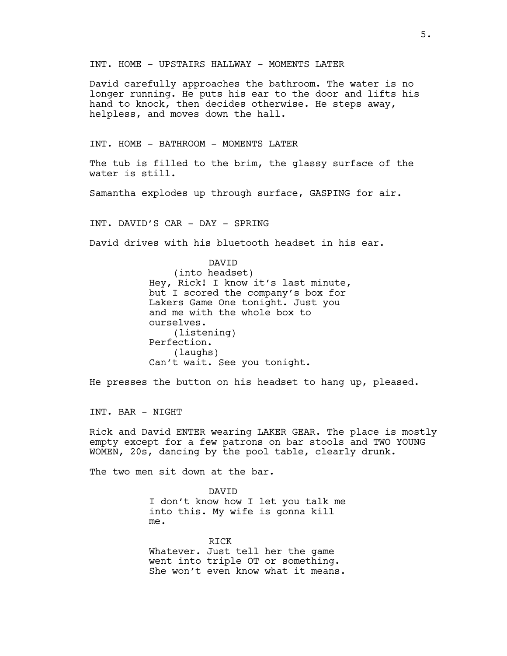INT. HOME - UPSTAIRS HALLWAY - MOMENTS LATER

David carefully approaches the bathroom. The water is no longer running. He puts his ear to the door and lifts his hand to knock, then decides otherwise. He steps away, helpless, and moves down the hall.

INT. HOME - BATHROOM - MOMENTS LATER

The tub is filled to the brim, the glassy surface of the water is still.

Samantha explodes up through surface, GASPING for air.

INT. DAVID'S CAR - DAY - SPRING

David drives with his bluetooth headset in his ear.

DAVID (into headset) Hey, Rick! I know it's last minute, but I scored the company's box for Lakers Game One tonight. Just you and me with the whole box to ourselves. (listening) Perfection. (laughs) Can't wait. See you tonight.

He presses the button on his headset to hang up, pleased.

INT. BAR - NIGHT

Rick and David ENTER wearing LAKER GEAR. The place is mostly empty except for a few patrons on bar stools and TWO YOUNG WOMEN, 20s, dancing by the pool table, clearly drunk.

The two men sit down at the bar.

DAVID I don't know how I let you talk me into this. My wife is gonna kill me.

RICK Whatever. Just tell her the game went into triple OT or something. She won't even know what it means.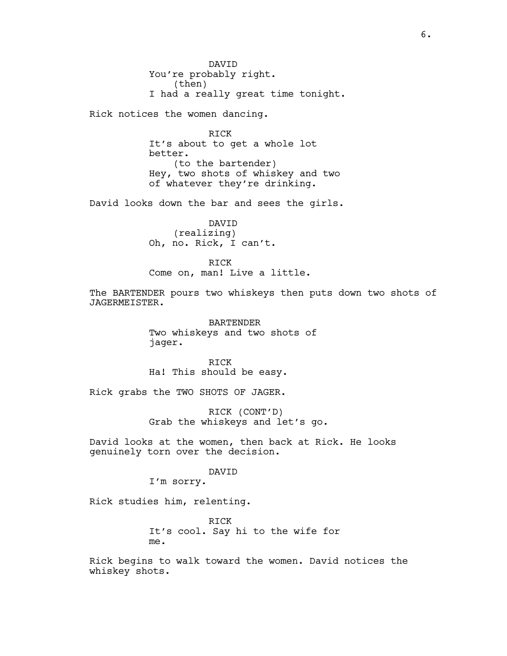DAVID You're probably right. (then) I had a really great time tonight.

Rick notices the women dancing.

RICK It's about to get a whole lot better. (to the bartender) Hey, two shots of whiskey and two of whatever they're drinking.

David looks down the bar and sees the girls.

DAVID (realizing) Oh, no. Rick, I can't.

RICK Come on, man! Live a little.

The BARTENDER pours two whiskeys then puts down two shots of JAGERMEISTER.

> BARTENDER Two whiskeys and two shots of jager.

RICK Ha! This should be easy.

Rick grabs the TWO SHOTS OF JAGER.

RICK (CONT'D) Grab the whiskeys and let's go.

David looks at the women, then back at Rick. He looks genuinely torn over the decision.

## DAVID

I'm sorry.

Rick studies him, relenting.

RICK It's cool. Say hi to the wife for me.

Rick begins to walk toward the women. David notices the whiskey shots.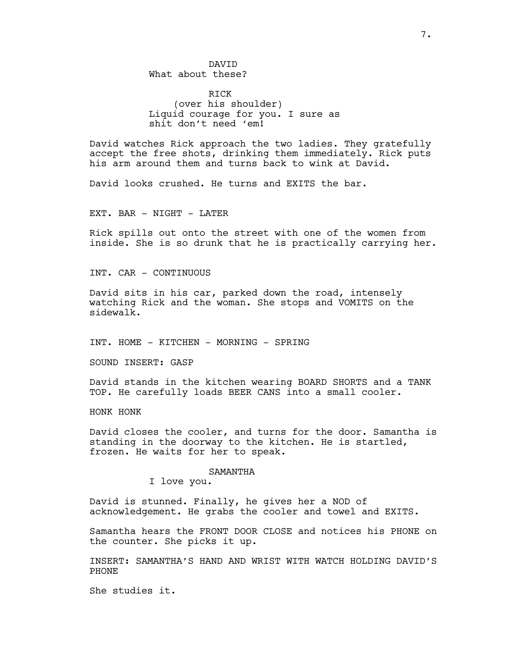DAVID What about these?

RICK (over his shoulder) Liquid courage for you. I sure as shit don't need 'em!

David watches Rick approach the two ladies. They gratefully accept the free shots, drinking them immediately. Rick puts his arm around them and turns back to wink at David.

David looks crushed. He turns and EXITS the bar.

EXT. BAR - NIGHT - LATER

Rick spills out onto the street with one of the women from inside. She is so drunk that he is practically carrying her.

INT. CAR - CONTINUOUS

David sits in his car, parked down the road, intensely watching Rick and the woman. She stops and VOMITS on the sidewalk.

INT. HOME - KITCHEN - MORNING - SPRING

SOUND INSERT: GASP

David stands in the kitchen wearing BOARD SHORTS and a TANK TOP. He carefully loads BEER CANS into a small cooler.

HONK HONK

David closes the cooler, and turns for the door. Samantha is standing in the doorway to the kitchen. He is startled, frozen. He waits for her to speak.

## SAMANTHA

I love you.

David is stunned. Finally, he gives her a NOD of acknowledgement. He grabs the cooler and towel and EXITS.

Samantha hears the FRONT DOOR CLOSE and notices his PHONE on the counter. She picks it up.

INSERT: SAMANTHA'S HAND AND WRIST WITH WATCH HOLDING DAVID'S PHONE

She studies it.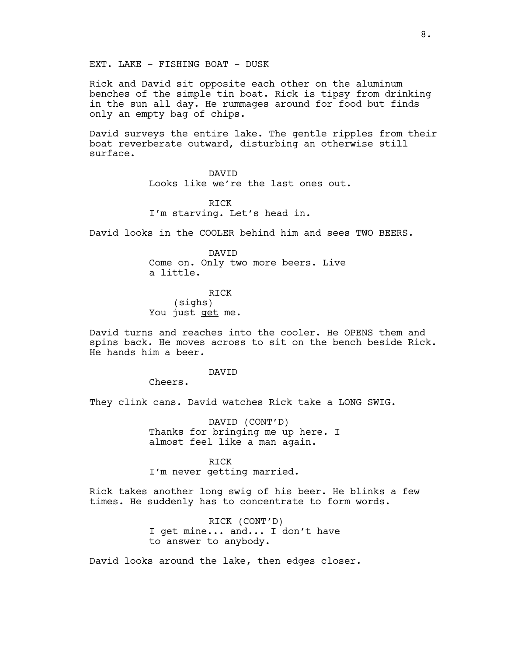EXT. LAKE - FISHING BOAT - DUSK

Rick and David sit opposite each other on the aluminum benches of the simple tin boat. Rick is tipsy from drinking in the sun all day. He rummages around for food but finds only an empty bag of chips.

David surveys the entire lake. The gentle ripples from their boat reverberate outward, disturbing an otherwise still surface.

> DAVID Looks like we're the last ones out.

RICK I'm starving. Let's head in.

David looks in the COOLER behind him and sees TWO BEERS.

DAVID Come on. Only two more beers. Live a little.

RICK (sighs) You just get me.

David turns and reaches into the cooler. He OPENS them and spins back. He moves across to sit on the bench beside Rick. He hands him a beer.

#### DAVID

Cheers.

They clink cans. David watches Rick take a LONG SWIG.

DAVID (CONT'D) Thanks for bringing me up here. I almost feel like a man again.

### RICK

I'm never getting married.

Rick takes another long swig of his beer. He blinks a few times. He suddenly has to concentrate to form words.

> RICK (CONT'D) I get mine... and... I don't have to answer to anybody.

David looks around the lake, then edges closer.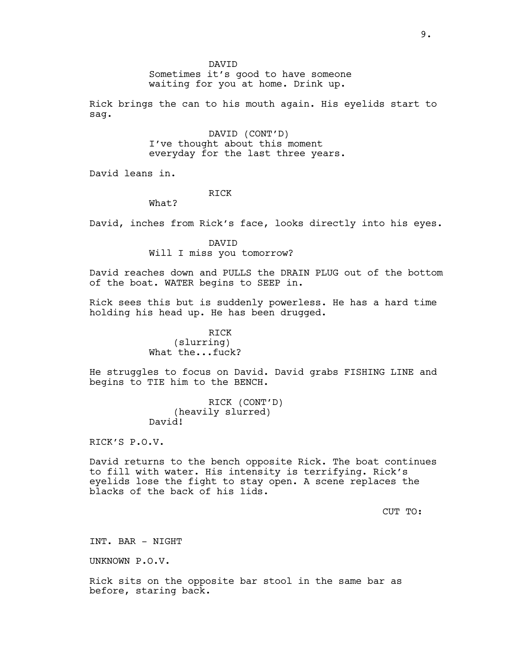DAVID

Sometimes it's good to have someone waiting for you at home. Drink up.

Rick brings the can to his mouth again. His eyelids start to sag.

> DAVID (CONT'D) I've thought about this moment everyday for the last three years.

David leans in.

# RICK

What?

David, inches from Rick's face, looks directly into his eyes.

DAVID Will I miss you tomorrow?

David reaches down and PULLS the DRAIN PLUG out of the bottom of the boat. WATER begins to SEEP in.

Rick sees this but is suddenly powerless. He has a hard time holding his head up. He has been drugged.

> RICK (slurring) What the...fuck?

He struggles to focus on David. David grabs FISHING LINE and begins to TIE him to the BENCH.

> RICK (CONT'D) (heavily slurred) David!

RICK'S P.O.V.

David returns to the bench opposite Rick. The boat continues to fill with water. His intensity is terrifying. Rick's eyelids lose the fight to stay open. A scene replaces the blacks of the back of his lids.

CUT TO:

INT. BAR - NIGHT

UNKNOWN P.O.V.

Rick sits on the opposite bar stool in the same bar as before, staring back.